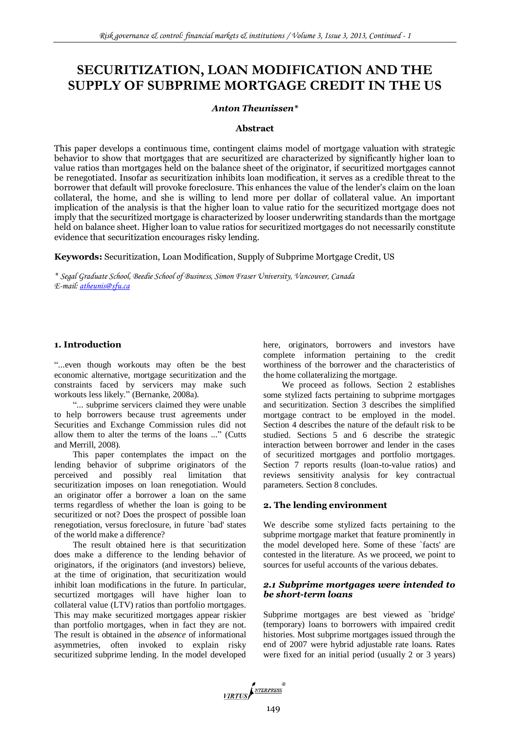# **SECURITIZATION, LOAN MODIFICATION AND THE SUPPLY OF SUBPRIME MORTGAGE CREDIT IN THE US**

# *Anton Theunissen\**

## **Abstract**

This paper develops a continuous time, contingent claims model of mortgage valuation with strategic behavior to show that mortgages that are securitized are characterized by significantly higher loan to value ratios than mortgages held on the balance sheet of the originator, if securitized mortgages cannot be renegotiated. Insofar as securitization inhibits loan modification, it serves as a credible threat to the borrower that default will provoke foreclosure. This enhances the value of the lender's claim on the loan collateral, the home, and she is willing to lend more per dollar of collateral value. An important implication of the analysis is that the higher loan to value ratio for the securitized mortgage does not imply that the securitized mortgage is characterized by looser underwriting standards than the mortgage held on balance sheet. Higher loan to value ratios for securitized mortgages do not necessarily constitute evidence that securitization encourages risky lending.

**Keywords:** Securitization, Loan Modification, Supply of Subprime Mortgage Credit, US

*\* Segal Graduate School, Beedie School of Business, Simon Fraser University, Vancouver, Canada E-mail[: atheunis@sfu.ca](mailto:atheunis@sfu.ca)*

# **1. Introduction**

"...even though workouts may often be the best economic alternative, mortgage securitization and the constraints faced by servicers may make such workouts less likely." (Bernanke, 2008a).

"... subprime servicers claimed they were unable to help borrowers because trust agreements under Securities and Exchange Commission rules did not allow them to alter the terms of the loans ..." (Cutts and Merrill, 2008).

This paper contemplates the impact on the lending behavior of subprime originators of the perceived and possibly real limitation that securitization imposes on loan renegotiation. Would an originator offer a borrower a loan on the same terms regardless of whether the loan is going to be securitized or not? Does the prospect of possible loan renegotiation, versus foreclosure, in future `bad' states of the world make a difference?

The result obtained here is that securitization does make a difference to the lending behavior of originators, if the originators (and investors) believe, at the time of origination, that securitization would inhibit loan modifications in the future. In particular, securtized mortgages will have higher loan to collateral value (LTV) ratios than portfolio mortgages. This may make securitized mortgages appear riskier than portfolio mortgages, when in fact they are not. The result is obtained in the *absence* of informational asymmetries, often invoked to explain risky securitized subprime lending. In the model developed here, originators, borrowers and investors have complete information pertaining to the credit worthiness of the borrower and the characteristics of the home collateralizing the mortgage.

We proceed as follows. Section 2 establishes some stylized facts pertaining to subprime mortgages and securitization. Section 3 describes the simplified mortgage contract to be employed in the model. Section 4 describes the nature of the default risk to be studied. Sections 5 and 6 describe the strategic interaction between borrower and lender in the cases of securitized mortgages and portfolio mortgages. Section 7 reports results (loan-to-value ratios) and reviews sensitivity analysis for key contractual parameters. Section 8 concludes.

# **2. The lending environment**

We describe some stylized facts pertaining to the subprime mortgage market that feature prominently in the model developed here. Some of these `facts' are contested in the literature. As we proceed, we point to sources for useful accounts of the various debates.

# *2.1 Subprime mortgages were intended to be short-term loans*

Subprime mortgages are best viewed as `bridge' (temporary) loans to borrowers with impaired credit histories. Most subprime mortgages issued through the end of 2007 were hybrid adjustable rate loans. Rates were fixed for an initial period (usually 2 or 3 years)

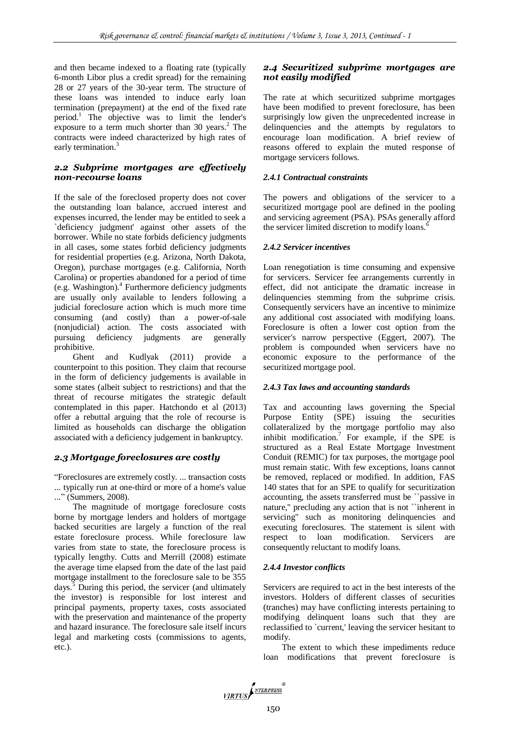and then became indexed to a floating rate (typically 6-month Libor plus a credit spread) for the remaining 28 or 27 years of the 30-year term. The structure of these loans was intended to induce early loan termination (prepayment) at the end of the fixed rate period.<sup>1</sup> The objective was to limit the lender's exposure to a term much shorter than  $30$  years.<sup>2</sup> The contracts were indeed characterized by high rates of early termination.<sup>3</sup>

## *2.2 Subprime mortgages are effectively non-recourse loans*

If the sale of the foreclosed property does not cover the outstanding loan balance, accrued interest and expenses incurred, the lender may be entitled to seek a `deficiency judgment' against other assets of the borrower. While no state forbids deficiency judgments in all cases, some states forbid deficiency judgments for residential properties (e.g. Arizona, North Dakota, Oregon), purchase mortgages (e.g. California, North Carolina) or properties abandoned for a period of time (e.g. Washington).<sup>4</sup> Furthermore deficiency judgments are usually only available to lenders following a judicial foreclosure action which is much more time consuming (and costly) than a power-of-sale (nonjudicial) action. The costs associated with pursuing deficiency judgments are generally prohibitive.

Ghent and Kudlyak (2011) provide a counterpoint to this position. They claim that recourse in the form of deficiency judgements is available in some states (albeit subject to restrictions) and that the threat of recourse mitigates the strategic default contemplated in this paper. Hatchondo et al (2013) offer a rebuttal arguing that the role of recourse is limited as households can discharge the obligation associated with a deficiency judgement in bankruptcy.

# *2.3 Mortgage foreclosures are costly*

"Foreclosures are extremely costly. ... transaction costs ... typically run at one-third or more of a home's value ..." (Summers, 2008).

The magnitude of mortgage foreclosure costs borne by mortgage lenders and holders of mortgage backed securities are largely a function of the real estate foreclosure process. While foreclosure law varies from state to state, the foreclosure process is typically lengthy. Cutts and Merrill (2008) estimate the average time elapsed from the date of the last paid mortgage installment to the foreclosure sale to be 355 days. $5$  During this period, the servicer (and ultimately the investor) is responsible for lost interest and principal payments, property taxes, costs associated with the preservation and maintenance of the property and hazard insurance. The foreclosure sale itself incurs legal and marketing costs (commissions to agents, etc.).

# *2.4 Securitized subprime mortgages are not easily modified*

The rate at which securitized subprime mortgages have been modified to prevent foreclosure, has been surprisingly low given the unprecedented increase in delinquencies and the attempts by regulators to encourage loan modification. A brief review of reasons offered to explain the muted response of mortgage servicers follows.

#### *2.4.1 Contractual constraints*

The powers and obligations of the servicer to a securitized mortgage pool are defined in the pooling and servicing agreement (PSA). PSAs generally afford the servicer limited discretion to modify loans.<sup>6</sup>

#### *2.4.2 Servicer incentives*

Loan renegotiation is time consuming and expensive for servicers. Servicer fee arrangements currently in effect, did not anticipate the dramatic increase in delinquencies stemming from the subprime crisis. Consequently servicers have an incentive to minimize any additional cost associated with modifying loans. Foreclosure is often a lower cost option from the servicer's narrow perspective (Eggert, 2007). The problem is compounded when servicers have no economic exposure to the performance of the securitized mortgage pool.

#### *2.4.3 Tax laws and accounting standards*

Tax and accounting laws governing the Special Purpose Entity (SPE) issuing the securities collateralized by the mortgage portfolio may also inhibit modification.<sup>7</sup> For example, if the SPE is structured as a Real Estate Mortgage Investment Conduit (REMIC) for tax purposes, the mortgage pool must remain static. With few exceptions, loans cannot be removed, replaced or modified. In addition, FAS 140 states that for an SPE to qualify for securitization accounting, the assets transferred must be ``passive in nature,'' precluding any action that is not ``inherent in servicing'' such as monitoring delinquencies and executing foreclosures. The statement is silent with respect to loan modification. Servicers are consequently reluctant to modify loans.

#### *2.4.4 Investor conflicts*

Servicers are required to act in the best interests of the investors. Holders of different classes of securities (tranches) may have conflicting interests pertaining to modifying delinquent loans such that they are reclassified to `current,' leaving the servicer hesitant to modify.

The extent to which these impediments reduce loan modifications that prevent foreclosure is

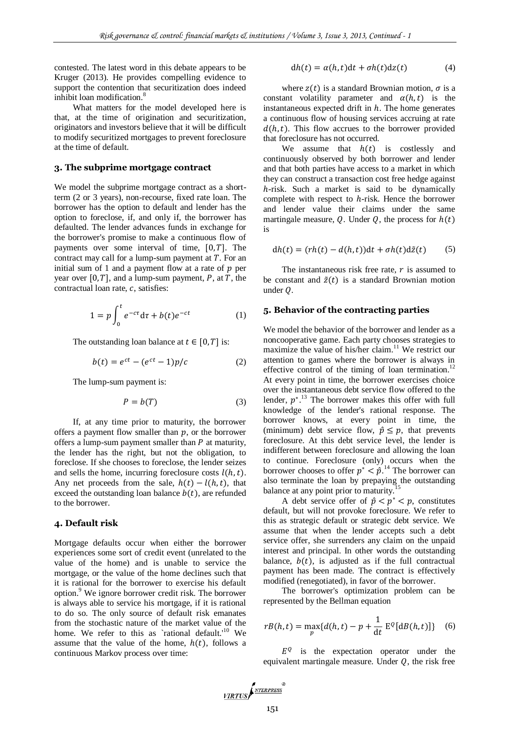contested. The latest word in this debate appears to be Kruger (2013). He provides compelling evidence to support the contention that securitization does indeed inhibit loan modification.<sup>8</sup>

What matters for the model developed here is that, at the time of origination and securitization, originators and investors believe that it will be difficult to modify securitized mortgages to prevent foreclosure at the time of default.

#### **3. The subprime mortgage contract**

We model the subprime mortgage contract as a shortterm (2 or 3 years), non-recourse, fixed rate loan. The borrower has the option to default and lender has the option to foreclose, if, and only if, the borrower has defaulted. The lender advances funds in exchange for the borrower's promise to make a continuous flow of payments over some interval of time,  $[0, T]$ . The contract may call for a lump-sum payment at  $T$ . For an initial sum of 1 and a payment flow at a rate of  $p$  per year over  $[0, T]$ , and a lump-sum payment, P, at T, the contractual loan rate,  $c$ , satisfies:

$$
1 = p \int_0^t e^{-c\tau} d\tau + b(t) e^{-ct} \tag{1}
$$

The outstanding loan balance at  $t \in [0, T]$  is:

$$
b(t) = e^{ct} - (e^{ct} - 1)p/c \tag{2}
$$

The lump-sum payment is:

$$
P = b(T) \tag{3}
$$

If, at any time prior to maturity, the borrower offers a payment flow smaller than  $p$ , or the borrower offers a lump-sum payment smaller than  $P$  at maturity, the lender has the right, but not the obligation, to foreclose. If she chooses to foreclose, the lender seizes and sells the home, incurring foreclosure costs  $l(h, t)$ . Any net proceeds from the sale,  $h(t) - l(h, t)$ , that exceed the outstanding loan balance  $b(t)$ , are refunded to the borrower.

#### **4. Default risk**

Mortgage defaults occur when either the borrower experiences some sort of credit event (unrelated to the value of the home) and is unable to service the mortgage, or the value of the home declines such that it is rational for the borrower to exercise his default option.<sup>9</sup> We ignore borrower credit risk. The borrower is always able to service his mortgage, if it is rational to do so. The only source of default risk emanates from the stochastic nature of the market value of the home. We refer to this as `rational default.<sup>'10</sup> We assume that the value of the home,  $h(t)$ , follows a continuous Markov process over time:

$$
dh(t) = \alpha(h, t)dt + \sigma h(t)dz(t)
$$
 (4)

where  $z(t)$  is a standard Brownian motion,  $\sigma$  is a constant volatility parameter and  $\alpha(h, t)$  is the instantaneous expected drift in  $h$ . The home generates a continuous flow of housing services accruing at rate  $d(h, t)$ . This flow accrues to the borrower provided that foreclosure has not occurred.

We assume that  $h(t)$  is costlessly and continuously observed by both borrower and lender and that both parties have access to a market in which they can construct a transaction cost free hedge against  $h$ -risk. Such a market is said to be dynamically complete with respect to  $h$ -risk. Hence the borrower and lender value their claims under the same martingale measure, Q. Under Q, the process for  $h(t)$ is

$$
dh(t) = (rh(t) - d(h, t))dt + \sigma h(t)d\tilde{z}(t)
$$
 (5)

The instantaneous risk free rate,  $r$  is assumed to be constant and  $\tilde{z}(t)$  is a standard Brownian motion under  $Q$ .

## **5. Behavior of the contracting parties**

We model the behavior of the borrower and lender as a noncooperative game. Each party chooses strategies to maximize the value of his/her claim.<sup>11</sup> We restrict our attention to games where the borrower is always in effective control of the timing of loan termination.<sup>12</sup> At every point in time, the borrower exercises choice over the instantaneous debt service flow offered to the lender,  $p^*$ <sup>13</sup>. The borrower makes this offer with full knowledge of the lender's rational response. The borrower knows, at every point in time, the (minimum) debt service flow,  $\hat{p} \leq p$ , that prevents foreclosure. At this debt service level, the lender is indifferent between foreclosure and allowing the loan to continue. Foreclosure (only) occurs when the borrower chooses to offer  $p^* < \hat{p}$ .<sup>14</sup> The borrower can also terminate the loan by prepaying the outstanding balance at any point prior to maturity.<sup>1</sup>

A debt service offer of  $\hat{p} < p^* < p$ , constitutes default, but will not provoke foreclosure. We refer to this as strategic default or strategic debt service. We assume that when the lender accepts such a debt service offer, she surrenders any claim on the unpaid interest and principal. In other words the outstanding balance,  $b(t)$ , is adjusted as if the full contractual payment has been made. The contract is effectively modified (renegotiated), in favor of the borrower.

The borrower's optimization problem can be represented by the Bellman equation

$$
rB(h,t) = \max_{p} \{d(h,t) - p + \frac{1}{dt} E^{Q}[dB(h,t)]\} \quad (6)
$$

 $E^{Q}$  is the expectation operator under the equivalent martingale measure. Under  $Q$ , the risk free

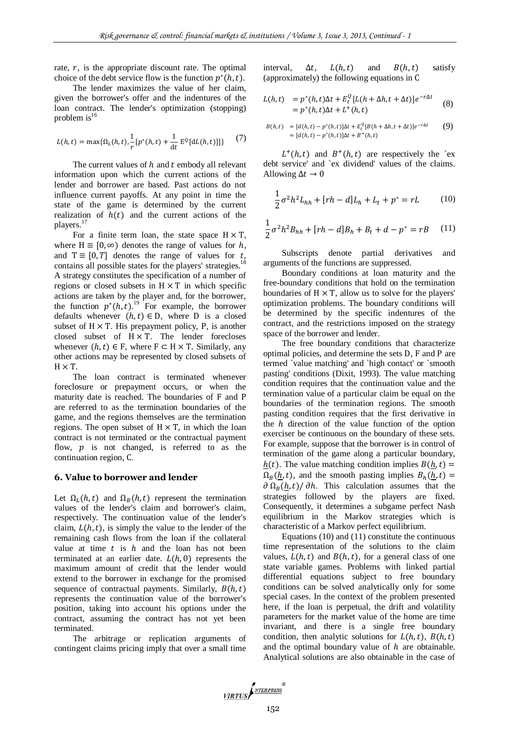rate,  $r$ , is the appropriate discount rate. The optimal choice of the debt service flow is the function  $p^*(h,t)$ .

The lender maximizes the value of her claim, given the borrower's offer and the indentures of the loan contract. The lender's optimization (stopping) problem  $is^{16}$ 

$$
L(h,t) = \max\{\Omega_L(h,t), \frac{1}{r}[p^*(h,t) + \frac{1}{dt} E^{Q}[dL(h,t)]]\}
$$
 (7)

The current values of  $h$  and  $t$  embody all relevant information upon which the current actions of the lender and borrower are based. Past actions do not influence current payoffs. At any point in time the state of the game is determined by the current realization of  $h(t)$  and the current actions of the players.<sup>17</sup>

For a finite term loan, the state space  $H \times T$ , where  $H \equiv [0, \infty)$  denotes the range of values for h, and  $T \equiv [0, T]$  denotes the range of values for t, contains all possible states for the players' strategies.<sup>18</sup> A strategy constitutes the specification of a number of regions or closed subsets in  $H \times T$  in which specific actions are taken by the player and, for the borrower, the function  $p^*(h, t)$ .<sup>19</sup> For example, the borrower defaults whenever  $(h, t) \in D$ , where D is a closed subset of  $H \times T$ . His prepayment policy, P, is another closed subset of  $H \times T$ . The lender forecloses whenever  $(h, t) \in F$ , where  $F \subset H \times T$ . Similarly, any other actions may be represented by closed subsets of  $H \times T$ .

The loan contract is terminated whenever foreclosure or prepayment occurs, or when the maturity date is reached. The boundaries of F and P are referred to as the termination boundaries of the game, and the regions themselves are the termination regions. The open subset of  $H \times T$ , in which the loan contract is not terminated or the contractual payment flow,  $p$  is not changed, is referred to as the continuation region, C.

#### **6. Value to borrower and lender**

Let  $\Omega_L(h,t)$  and  $\Omega_B(h,t)$  represent the termination values of the lender's claim and borrower's claim, respectively. The continuation value of the lender's claim,  $L(h, t)$ , is simply the value to the lender of the remaining cash flows from the loan if the collateral value at time  $t$  is  $h$  and the loan has not been terminated at an earlier date.  $L(h, 0)$  represents the maximum amount of credit that the lender would extend to the borrower in exchange for the promised sequence of contractual payments. Similarly,  $B(h, t)$ represents the continuation value of the borrower's position, taking into account his options under the contract, assuming the contract has not yet been terminated.

The arbitrage or replication arguments of contingent claims pricing imply that over a small time interval,  $\Delta t$ ,  $L(h, t)$  and  $B(h, t)$  satisfy (approximately) the following equations in

$$
L(h,t) = p^*(h,t)\Delta t + E_t^Q[L(h+\Delta h, t+\Delta t)]e^{-r\Delta t}
$$
  
=  $p^*(h,t)\Delta t + L^+(h,t)$  (8)

$$
B(h,t) = [d(h,t) - p^*(h,t)]\Delta t + E_t^Q[B(h + \Delta h, t + \Delta t)]e^{-r\Delta t}
$$
(9)  
= [d(h,t) - p^\*(h,t)]\Delta t + B^+(h,t)

 $L^+(h,t)$  and  $B^+(h,t)$  are respectively the 'exdebt service' and `ex dividend' values of the claims. Allowing  $\Delta t \rightarrow 0$ 

$$
\frac{1}{2}\sigma^2 h^2 L_{hh} + [rh - d]L_h + L_t + p^* = rL \tag{10}
$$

$$
\frac{1}{2}\sigma^2 h^2 B_{hh} + [rh - d]B_h + B_t + d - p^* = rB \quad (11)
$$

Subscripts denote partial derivatives and arguments of the functions are suppressed.

Boundary conditions at loan maturity and the free-boundary conditions that hold on the termination boundaries of  $H \times T$ , allow us to solve for the players' optimization problems. The boundary conditions will be determined by the specific indentures of the contract, and the restrictions imposed on the strategy space of the borrower and lender.

The free boundary conditions that characterize optimal policies, and determine the sets D, F and P are termed `value matching' and `high contact' or `smooth pasting' conditions (Dixit, 1993). The value matching condition requires that the continuation value and the termination value of a particular claim be equal on the boundaries of the termination regions. The smooth pasting condition requires that the first derivative in the  $h$  direction of the value function of the option exerciser be continuous on the boundary of these sets. For example, suppose that the borrower is in control of termination of the game along a particular boundary,  $h(t)$ . The value matching condition implies  $B(h, t) =$  $\Omega_B(h,t)$ , and the smooth pasting implies  $B_h(h,t)$  =  $\partial \Omega_B(h,t)/\partial h$ . This calculation assumes that the strategies followed by the players are fixed. Consequently, it determines a subgame perfect Nash equilibrium in the Markov strategies which is characteristic of a Markov perfect equilibrium.

Equations (10) and (11) constitute the continuous time representation of the solutions to the claim values,  $L(h, t)$  and  $B(h, t)$ , for a general class of one state variable games. Problems with linked partial differential equations subject to free boundary conditions can be solved analytically only for some special cases. In the context of the problem presented here, if the loan is perpetual, the drift and volatility parameters for the market value of the home are time invariant, and there is a single free boundary condition, then analytic solutions for  $L(h, t)$ ,  $B(h, t)$ and the optimal boundary value of  $h$  are obtainable. Analytical solutions are also obtainable in the case of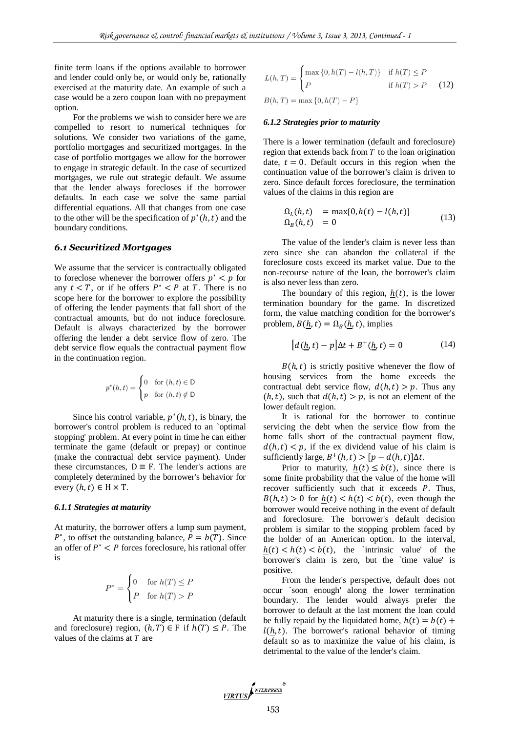finite term loans if the options available to borrower and lender could only be, or would only be, rationally exercised at the maturity date. An example of such a case would be a zero coupon loan with no prepayment option.

For the problems we wish to consider here we are compelled to resort to numerical techniques for solutions. We consider two variations of the game, portfolio mortgages and securitized mortgages. In the case of portfolio mortgages we allow for the borrower to engage in strategic default. In the case of securtized mortgages, we rule out strategic default. We assume that the lender always forecloses if the borrower defaults. In each case we solve the same partial differential equations. All that changes from one case to the other will be the specification of  $p^*(h, t)$  and the boundary conditions.

#### *6.1 Securitized Mortgages*

We assume that the servicer is contractually obligated to foreclose whenever the borrower offers  $p^* < p$  for any  $t < T$ , or if he offers  $P^* < P$  at T. There is no scope here for the borrower to explore the possibility of offering the lender payments that fall short of the contractual amounts, but do not induce foreclosure. Default is always characterized by the borrower offering the lender a debt service flow of zero. The debt service flow equals the contractual payment flow in the continuation region.

$$
p^*(h,t) = \begin{cases} 0 & \text{for } (h,t) \in \mathsf{D} \\ p & \text{for } (h,t) \notin \mathsf{D} \end{cases}
$$

Since his control variable,  $p^*(h, t)$ , is binary, the borrower's control problem is reduced to an `optimal stopping' problem. At every point in time he can either terminate the game (default or prepay) or continue (make the contractual debt service payment). Under these circumstances,  $D \equiv F$ . The lender's actions are completely determined by the borrower's behavior for every  $(h, t) \in H \times T$ .

#### *6.1.1 Strategies at maturity*

At maturity, the borrower offers a lump sum payment,  $P^*$ , to offset the outstanding balance,  $P = b(T)$ . Since an offer of  $P^* < P$  forces foreclosure, his rational offer is

$$
P^* = \begin{cases} 0 & \text{for } h(T) \le P \\ P & \text{for } h(T) > P \end{cases}
$$

At maturity there is a single, termination (default and foreclosure) region,  $(h, T) \in F$  if  $h(T) \leq P$ . The values of the claims at  $T$  are

$$
L(h, T) = \begin{cases} \max\{0, h(T) - l(h, T)\} & \text{if } h(T) \le P \\ P & \text{if } h(T) > P \end{cases}
$$
 (12)  

$$
B(h, T) = \max\{0, h(T) - P\}
$$

#### *6.1.2 Strategies prior to maturity*

There is a lower termination (default and foreclosure) region that extends back from  $T$  to the loan origination date,  $t = 0$ . Default occurs in this region when the continuation value of the borrower's claim is driven to zero. Since default forces foreclosure, the termination values of the claims in this region are

$$
\Omega_L(h, t) = \max\{0, h(t) - l(h, t)\}\
$$
  
\n
$$
\Omega_B(h, t) = 0
$$
\n(13)

The value of the lender's claim is never less than zero since she can abandon the collateral if the foreclosure costs exceed its market value. Due to the non-recourse nature of the loan, the borrower's claim is also never less than zero.

The boundary of this region,  $h(t)$ , is the lower termination boundary for the game. In discretized form, the value matching condition for the borrower's problem,  $B(h, t) = \Omega_R(h, t)$ , implies

$$
[d(h, t) - p]\Delta t + B^{+}(h, t) = 0 \tag{14}
$$

 $B(h, t)$  is strictly positive whenever the flow of housing services from the home exceeds the contractual debt service flow,  $d(h, t) > p$ . Thus any  $(h, t)$ , such that  $d(h, t) > p$ , is not an element of the lower default region.

It is rational for the borrower to continue servicing the debt when the service flow from the home falls short of the contractual payment flow,  $d(h, t) < p$ , if the ex dividend value of his claim is sufficiently large,  $B^+(h,t) > [p - d(h,t)]\Delta t$ .

Prior to maturity,  $h(t) \leq b(t)$ , since there is some finite probability that the value of the home will recover sufficiently such that it exceeds  $P$ . Thus,  $B(h,t) > 0$  for  $h(t) < h(t) < b(t)$ , even though the borrower would receive nothing in the event of default and foreclosure. The borrower's default decision problem is similar to the stopping problem faced by the holder of an American option. In the interval,  $h(t) < h(t) < b(t)$ , the `intrinsic value' of the borrower's claim is zero, but the `time value' is positive.

From the lender's perspective, default does not occur `soon enough' along the lower termination boundary. The lender would always prefer the borrower to default at the last moment the loan could be fully repaid by the liquidated home,  $h(t) = b(t) +$  $l(h, t)$ . The borrower's rational behavior of timing default so as to maximize the value of his claim, is detrimental to the value of the lender's claim.

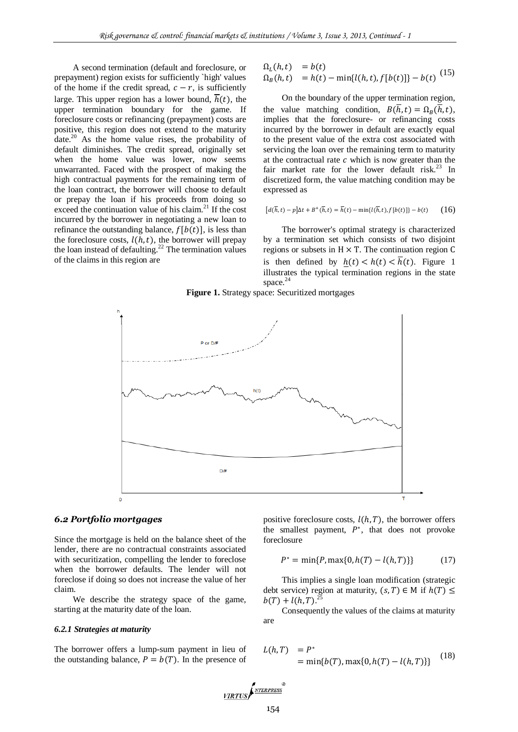A second termination (default and foreclosure, or prepayment) region exists for sufficiently `high' values of the home if the credit spread,  $c - r$ , is sufficiently large. This upper region has a lower bound,  $\overline{h}(t)$ , the upper termination boundary for the game. If foreclosure costs or refinancing (prepayment) costs are positive, this region does not extend to the maturity date.<sup>20</sup> As the home value rises, the probability of default diminishes. The credit spread, originally set when the home value was lower, now seems unwarranted. Faced with the prospect of making the high contractual payments for the remaining term of the loan contract, the borrower will choose to default or prepay the loan if his proceeds from doing so exceed the continuation value of his claim.<sup>21</sup> If the cost incurred by the borrower in negotiating a new loan to refinance the outstanding balance,  $f[b(t)]$ , is less than the foreclosure costs,  $l(h, t)$ , the borrower will prepay the loan instead of defaulting.<sup>22</sup> The termination values of the claims in this region are

$$
\begin{array}{ll}\n\Omega_L(h, t) & = b(t) \\
\Omega_B(h, t) & = h(t) - \min\{l(h, t), f[b(t)]\} - b(t)\n\end{array} (15)
$$

On the boundary of the upper termination region, the value matching condition,  $B(\overline{h}, t) = \Omega_R(\overline{h}, t)$ , implies that the foreclosure- or refinancing costs incurred by the borrower in default are exactly equal to the present value of the extra cost associated with servicing the loan over the remaining term to maturity at the contractual rate  $c$  which is now greater than the fair market rate for the lower default risk. $^{23}$  In discretized form, the value matching condition may be expressed as

$$
[d(\overline{h},t)-p]\Delta t + B^+(\overline{h},t) = \overline{h}(t) - \min\{l(\overline{h},t),f[b(t)]\} - b(t) \qquad (16)
$$

The borrower's optimal strategy is characterized by a termination set which consists of two disjoint regions or subsets in  $H \times T$ . The continuation region C is then defined by  $h(t) < h(t) < \overline{h}(t)$ . Figure 1 illustrates the typical termination regions in the state space.<sup>24</sup>





#### *6.2 Portfolio mortgages*

Since the mortgage is held on the balance sheet of the lender, there are no contractual constraints associated with securitization, compelling the lender to foreclose when the borrower defaults. The lender will not foreclose if doing so does not increase the value of her claim.

We describe the strategy space of the game, starting at the maturity date of the loan.

#### *6.2.1 Strategies at maturity*

The borrower offers a lump-sum payment in lieu of the outstanding balance,  $P = b(T)$ . In the presence of positive foreclosure costs,  $l(h, T)$ , the borrower offers the smallest payment,  $P^*$ , that does not provoke foreclosure

$$
P^* = \min\{P, \max\{0, h(T) - l(h, T)\}\}\tag{17}
$$

This implies a single loan modification (strategic debt service) region at maturity,  $(s, T) \in M$  if  $h(T) \leq$  $b(T) + l(h,T).^{25}$ 

Consequently the values of the claims at maturity are

$$
L(h, T) = P^*
$$
  
= min{b(T), max{0, h(T) – l(h, T)}} (18)

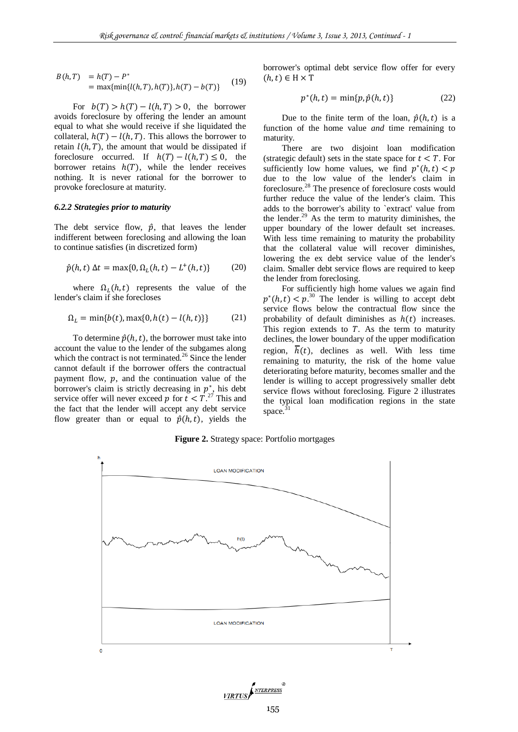$$
B(h, T) = h(T) - P^*
$$
  
= max{min{l(h, T), h(T)}, h(T) - b(T)} (19)

For  $b(T) > h(T) - l(h,T) > 0$ , the borrower avoids foreclosure by offering the lender an amount equal to what she would receive if she liquidated the collateral,  $h(T) - l(h, T)$ . This allows the borrower to retain  $l(h, T)$ , the amount that would be dissipated if foreclosure occurred. If  $h(T) - l(h,T) \leq 0$ , the borrower retains  $h(T)$ , while the lender receives nothing. It is never rational for the borrower to provoke foreclosure at maturity.

#### *6.2.2 Strategies prior to maturity*

The debt service flow,  $\hat{p}$ , that leaves the lender indifferent between foreclosing and allowing the loan to continue satisfies (in discretized form)

$$
\hat{p}(h, t) \Delta t = \max\{0, \Omega_L(h, t) - L^+(h, t)\}\tag{20}
$$

where  $\Omega_L(h, t)$  represents the value of the lender's claim if she forecloses

$$
\Omega_L = \min\{b(t), \max\{0, h(t) - l(h, t)\}\}\tag{21}
$$

To determine  $\hat{p}(h, t)$ , the borrower must take into account the value to the lender of the subgames along which the contract is not terminated.<sup>26</sup> Since the lender cannot default if the borrower offers the contractual payment flow,  $p$ , and the continuation value of the borrower's claim is strictly decreasing in  $p^*$ , his debt service offer will never exceed p for  $t < T<sup>27</sup>$ . This and the fact that the lender will accept any debt service flow greater than or equal to  $\hat{p}(h, t)$ , yields the

borrower's optimal debt service flow offer for every  $(h, t) \in H \times T$ 

$$
p^*(h,t) = \min\{p,\hat{p}(h,t)\}\tag{22}
$$

Due to the finite term of the loan,  $\hat{p}(h, t)$  is a function of the home value *and* time remaining to maturity.

There are two disjoint loan modification (strategic default) sets in the state space for  $t < T$ . For sufficiently low home values, we find  $p^*$ due to the low value of the lender's claim in foreclosure.<sup>28</sup> The presence of foreclosure costs would further reduce the value of the lender's claim. This adds to the borrower's ability to `extract' value from the lender. $29$  As the term to maturity diminishes, the upper boundary of the lower default set increases. With less time remaining to maturity the probability that the collateral value will recover diminishes, lowering the ex debt service value of the lender's claim. Smaller debt service flows are required to keep the lender from foreclosing.

For sufficiently high home values we again find  $p^*(h, t) < p^{30}$  The lender is willing to accept debt service flows below the contractual flow since the probability of default diminishes as  $h(t)$  increases. This region extends to  $T$ . As the term to maturity declines, the lower boundary of the upper modification region,  $\overline{h}(t)$ , declines as well. With less time remaining to maturity, the risk of the home value deteriorating before maturity, becomes smaller and the lender is willing to accept progressively smaller debt service flows without foreclosing. Figure 2 illustrates the typical loan modification regions in the state space.

**Figure 2.** Strategy space: Portfolio mortgages



VIRTUS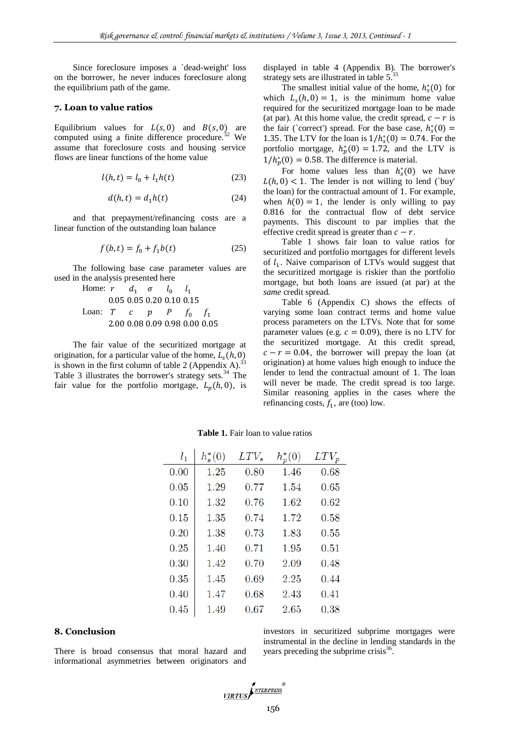Since foreclosure imposes a `dead-weight' loss on the borrower, he never induces foreclosure along the equilibrium path of the game.

#### **7. Loan to value ratios**

Equilibrium values for  $L(s, 0)$  and  $B(s, 0)$  are computed using a finite difference procedure.<sup>32</sup> We assume that foreclosure costs and housing service flows are linear functions of the home value

$$
l(h, t) = l_0 + l_1 h(t)
$$
 (23)

$$
d(h, t) = d_1 h(t) \tag{24}
$$

and that prepayment/refinancing costs are a linear function of the outstanding loan balance

$$
f(b, t) = f_0 + f_1 b(t)
$$
 (25)

The following base case parameter values are used in the analysis presented here

Home: 
$$
r = d_1 - \sigma = l_0 - l_1
$$

\n0.05 0.05 0.20 0.10 0.15

\nLOan:  $T = c$   $p = p - f_0 - f_1$ 

\n2.00 0.08 0.09 0.98 0.00 0.05

The fair value of the securitized mortgage at origination, for a particular value of the home,  $L_s$ is shown in the first column of table 2 (Appendix A).<sup>33</sup> Table 3 illustrates the borrower's strategy sets. $34$  The fair value for the portfolio mortgage,  $L_n(h, 0)$ , is displayed in table 4 (Appendix B). The borrower's strategy sets are illustrated in table 5.<sup>35</sup>

The smallest initial value of the home,  $h_s^*(0)$  for which  $L_s(h, 0) = 1$ , is the minimum home value required for the securitized mortgage loan to be made (at par). At this home value, the credit spread,  $c - r$  is the fair (`correct') spread. For the base case,  $h_s^*$ 1.35. The LTV for the loan is  $1/h_s^*(0) = 0.74$ . For the portfolio mortgage,  $h_p^*(0) = 1.72$ , and the LTV is  $1/h_n^*(0) = 0.58$ . The difference is material.

For home values less than  $h_s^*(0)$  we have  $L(h, 0)$  < 1. The lender is not willing to lend (`buy' the loan) for the contractual amount of 1. For example, when  $h(0) = 1$ , the lender is only willing to pay 0.816 for the contractual flow of debt service payments. This discount to par implies that the effective credit spread is greater than  $c - r$ .

Table 1 shows fair loan to value ratios for securitized and portfolio mortgages for different levels of  $l_1$ . Naive comparison of LTVs would suggest that the securitized mortgage is riskier than the portfolio mortgage, but both loans are issued (at par) at the *same* credit spread.

Table 6 (Appendix C) shows the effects of varying some loan contract terms and home value process parameters on the LTVs. Note that for some parameter values (e.g.  $c = 0.09$ ), there is no LTV for the securitized mortgage. At this credit spread,  $c - r = 0.04$ , the borrower will prepay the loan (at origination) at home values high enough to induce the lender to lend the contractual amount of 1. The loan will never be made. The credit spread is too large. Similar reasoning applies in the cases where the refinancing costs,  $f_1$ , are (too) low.

| $l_{1}$ | $h_{s}^{*}(0)$ | $LTV_s$ | $h_p^*(0)$ | $LTV_p$ |
|---------|----------------|---------|------------|---------|
| 0.00    | 1.25           | 0.80    | 1.46       | 0.68    |
| 0.05    | 1.29           | 0.77    | 1.54       | 0.65    |
| 0.10    | 1.32           | 0.76    | 1.62       | 0.62    |
| 0.15    | 1.35           | 0.74    | 1.72       | 0.58    |
| 0.20    | 1.38           | 0.73    | 1.83       | 0.55    |
| 0.25    | 1.40           | 0.71    | 1.95       | 0.51    |
| 0.30    | 1.42           | 0.70    | 2.09       | 0.48    |
| 0.35    | 1.45           | 0.69    | 2.25       | 0.44    |
| 0.40    | 1.47           | 0.68    | 2.43       | 0.41    |
| 0.45    | 1.49           | 0.67    | 2.65       | 0.38    |

**Table 1.** Fair loan to value ratios

## **8. Conclusion**

There is broad consensus that moral hazard and informational asymmetries between originators and investors in securitized subprime mortgages were instrumental in the decline in lending standards in the years preceding the subprime crisis $36$ .

VIRTUS ANTERPRESS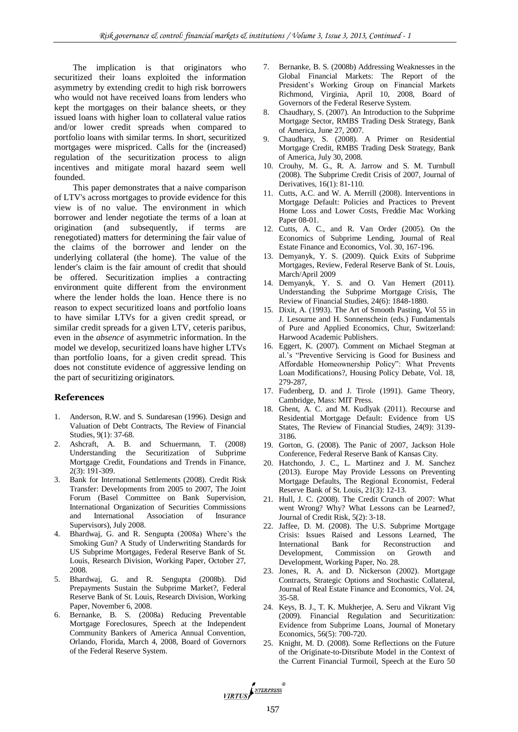The implication is that originators who securitized their loans exploited the information asymmetry by extending credit to high risk borrowers who would not have received loans from lenders who kept the mortgages on their balance sheets, or they issued loans with higher loan to collateral value ratios and/or lower credit spreads when compared to portfolio loans with similar terms. In short, securitized mortgages were mispriced. Calls for the (increased) regulation of the securitization process to align incentives and mitigate moral hazard seem well founded.

This paper demonstrates that a naive comparison of LTV's across mortgages to provide evidence for this view is of no value. The environment in which borrower and lender negotiate the terms of a loan at origination (and subsequently, if terms are renegotiated) matters for determining the fair value of the claims of the borrower and lender on the underlying collateral (the home). The value of the lender's claim is the fair amount of credit that should be offered. Securitization implies a contracting environment quite different from the environment where the lender holds the loan. Hence there is no reason to expect securitized loans and portfolio loans to have similar LTVs for a given credit spread, or similar credit spreads for a given LTV, ceteris paribus, even in the *absence* of asymmetric information. In the model we develop, securitized loans have higher LTVs than portfolio loans, for a given credit spread. This does not constitute evidence of aggressive lending on the part of securitizing originators.

#### **References**

- Anderson, R.W. and S. Sundaresan (1996). Design and Valuation of Debt Contracts, The Review of Financial Studies, 9(1): 37-68.
- 2. Ashcraft, A. B. and Schuermann, T. (2008) Understanding the Securitization of Subprime Mortgage Credit, Foundations and Trends in Finance, 2(3): 191-309.
- 3. Bank for International Settlements (2008). Credit Risk Transfer: Developments from 2005 to 2007, The Joint Forum (Basel Committee on Bank Supervision, International Organization of Securities Commissions and International Association of Insurance Supervisors), July 2008.
- 4. Bhardwaj, G. and R. Sengupta (2008a) Where's the Smoking Gun? A Study of Underwriting Standards for US Subprime Mortgages, Federal Reserve Bank of St. Louis, Research Division, Working Paper, October 27, 2008.
- 5. Bhardwaj, G. and R. Sengupta (2008b). Did Prepayments Sustain the Subprime Market?, Federal Reserve Bank of St. Louis, Research Division, Working Paper, November 6, 2008.
- 6. Bernanke, B. S. (2008a) Reducing Preventable Mortgage Foreclosures, Speech at the Independent Community Bankers of America Annual Convention, Orlando, Florida, March 4, 2008, Board of Governors of the Federal Reserve System.
- 7. Bernanke, B. S. (2008b) Addressing Weaknesses in the Global Financial Markets: The Report of the President's Working Group on Financial Markets Richmond, Virginia, April 10, 2008, Board of Governors of the Federal Reserve System.
- 8. Chaudhary, S. (2007). An Introduction to the Subprime Mortgage Sector, RMBS Trading Desk Strategy, Bank of America, June 27, 2007.
- 9. Chaudhary, S. (2008). A Primer on Residential Mortgage Credit, RMBS Trading Desk Strategy, Bank of America, July 30, 2008.
- 10. Crouhy, M. G., R. A. Jarrow and S. M. Turnbull (2008). The Subprime Credit Crisis of 2007, Journal of Derivatives, 16(1): 81-110.
- 11. Cutts, A.C. and W. A. Merrill (2008). Interventions in Mortgage Default: Policies and Practices to Prevent Home Loss and Lower Costs, Freddie Mac Working Paper 08-01.
- 12. Cutts, A. C., and R. Van Order (2005). On the Economics of Subprime Lending, Journal of Real Estate Finance and Economics, Vol. 30, 167-196.
- 13. Demyanyk, Y. S. (2009). Quick Exits of Subprime Mortgages, Review, Federal Reserve Bank of St. Louis, March/April 2009
- 14. Demyanyk, Y. S. and O. Van Hemert (2011). Understanding the Subprime Mortgage Crisis, The Review of Financial Studies, 24(6): 1848-1880.
- 15. Dixit, A. (1993). The Art of Smooth Pasting, Vol 55 in J. Lesourne and H. Sonnenschein (eds.) Fundamentals of Pure and Applied Economics, Chur, Switzerland: Harwood Academic Publishers.
- 16. Eggert, K. (2007). Comment on Michael Stegman at al.'s "Preventive Servicing is Good for Business and Affordable Homeownership Policy": What Prevents Loan Modifications?, Housing Policy Debate, Vol. 18, 279-287,
- 17. Fudenberg, D. and J. Tirole (1991). Game Theory, Cambridge, Mass: MIT Press.
- 18. Ghent, A. C. and M. Kudlyak (2011). Recourse and Residential Mortgage Default: Evidence from US States, The Review of Financial Studies, 24(9): 3139- 3186.
- 19. Gorton, G. (2008). The Panic of 2007, Jackson Hole Conference, Federal Reserve Bank of Kansas City.
- 20. Hatchondo, J. C., L. Martinez and J. M. Sanchez (2013). Europe May Provide Lessons on Preventing Mortgage Defaults, The Regional Economist, Federal Reserve Bank of St. Louis, 21(3): 12-13.
- 21. Hull, J. C. (2008). The Credit Crunch of 2007: What went Wrong? Why? What Lessons can be Learned?, Journal of Credit Risk, 5(2): 3-18.
- 22. Jaffee, D. M. (2008). The U.S. Subprime Mortgage Crisis: Issues Raised and Lessons Learned, The International Bank for Reconstruction and Development, Commission on Growth and Development, Working Paper, No. 28.
- 23. Jones, R. A. and D. Nickerson (2002). Mortgage Contracts, Strategic Options and Stochastic Collateral, Journal of Real Estate Finance and Economics, Vol. 24, 35-58.
- 24. Keys, B. J., T. K. Mukherjee, A. Seru and Vikrant Vig (2009). Financial Regulation and Securitization: Evidence from Subprime Loans, Journal of Monetary Economics, 56(5): 700-720.
- 25. Knight, M. D. (2008). Some Reflections on the Future of the Originate-to-Ditsribute Model in the Context of the Current Financial Turmoil, Speech at the Euro 50

VIRTUS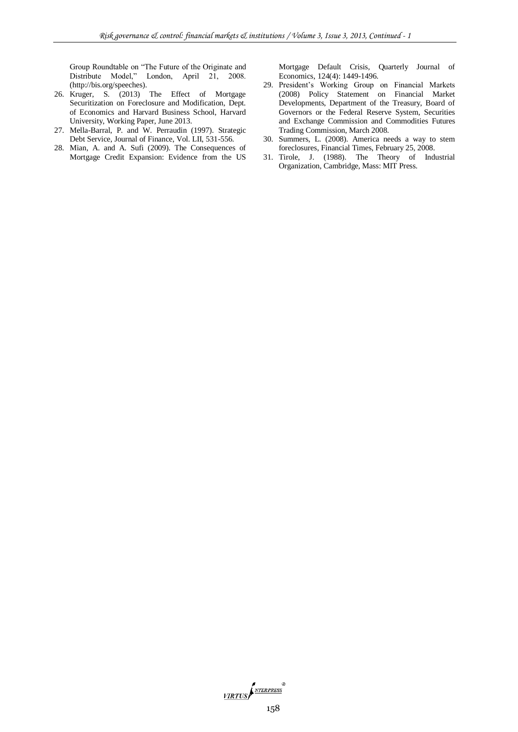Group Roundtable on "The Future of the Originate and Distribute Model," London, April 21, 2008. (http://bis.org/speeches).

- 26. Kruger, S. (2013) The Effect of Mortgage Securitization on Foreclosure and Modification, Dept. of Economics and Harvard Business School, Harvard University, Working Paper, June 2013.
- 27. Mella-Barral, P. and W. Perraudin (1997). Strategic Debt Service, Journal of Finance, Vol. LII, 531-556.
- 28. Mian, A. and A. Sufi (2009). The Consequences of Mortgage Credit Expansion: Evidence from the US

Mortgage Default Crisis, Quarterly Journal of Economics, 124(4): 1449-1496.

- 29. President's Working Group on Financial Markets (2008) Policy Statement on Financial Market Developments, Department of the Treasury, Board of Governors or the Federal Reserve System, Securities and Exchange Commission and Commodities Futures Trading Commission, March 2008.
- 30. Summers, L. (2008). America needs a way to stem foreclosures, Financial Times, February 25, 2008.
- 31. Tirole, J. (1988). The Theory of Industrial Organization, Cambridge, Mass: MIT Press.

 $\frac{\sqrt{IRTUS}}{\sqrt{IRTUS}}$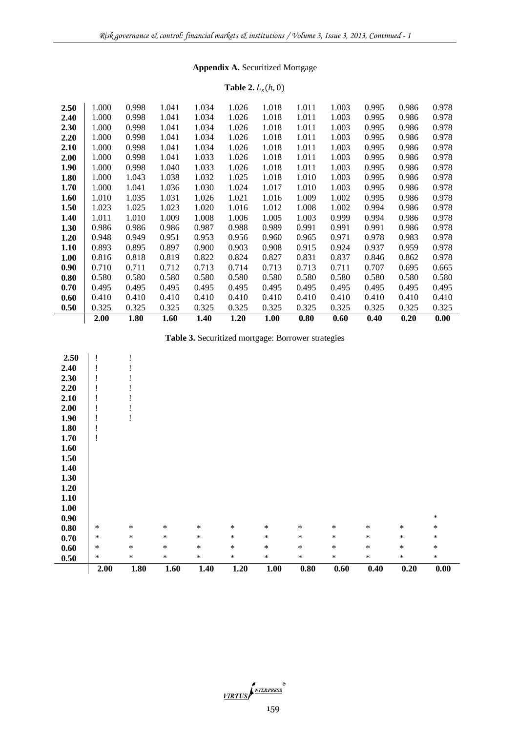# **Appendix A.** Securitized Mortgage

#### **Table 2.**  $L_s$ (

|      | 2.00  | 1.80  | 1.60  | 1.40  | 1.20  | 1.00  | 0.80  | 0.60  | 0.40  | 0.20  | 0.00  |
|------|-------|-------|-------|-------|-------|-------|-------|-------|-------|-------|-------|
| 0.50 | 0.325 | 0.325 | 0.325 | 0.325 | 0.325 | 0.325 | 0.325 | 0.325 | 0.325 | 0.325 | 0.325 |
| 0.60 | 0.410 | 0.410 | 0.410 | 0.410 | 0.410 | 0.410 | 0.410 | 0.410 | 0.410 | 0.410 | 0.410 |
| 0.70 | 0.495 | 0.495 | 0.495 | 0.495 | 0.495 | 0.495 | 0.495 | 0.495 | 0.495 | 0.495 | 0.495 |
| 0.80 | 0.580 | 0.580 | 0.580 | 0.580 | 0.580 | 0.580 | 0.580 | 0.580 | 0.580 | 0.580 | 0.580 |
| 0.90 | 0.710 | 0.711 | 0.712 | 0.713 | 0.714 | 0.713 | 0.713 | 0.711 | 0.707 | 0.695 | 0.665 |
| 1.00 | 0.816 | 0.818 | 0.819 | 0.822 | 0.824 | 0.827 | 0.831 | 0.837 | 0.846 | 0.862 | 0.978 |
| 1.10 | 0.893 | 0.895 | 0.897 | 0.900 | 0.903 | 0.908 | 0.915 | 0.924 | 0.937 | 0.959 | 0.978 |
| 1.20 | 0.948 | 0.949 | 0.951 | 0.953 | 0.956 | 0.960 | 0.965 | 0.971 | 0.978 | 0.983 | 0.978 |
| 1.30 | 0.986 | 0.986 | 0.986 | 0.987 | 0.988 | 0.989 | 0.991 | 0.991 | 0.991 | 0.986 | 0.978 |
| 1.40 | 1.011 | 1.010 | 1.009 | 1.008 | 1.006 | 1.005 | 1.003 | 0.999 | 0.994 | 0.986 | 0.978 |
| 1.50 | 1.023 | 1.025 | 1.023 | 1.020 | 1.016 | 1.012 | 1.008 | 1.002 | 0.994 | 0.986 | 0.978 |
| 1.60 | 1.010 | 1.035 | 1.031 | 1.026 | 1.021 | 1.016 | 1.009 | 1.002 | 0.995 | 0.986 | 0.978 |
| 1.70 | 1.000 | 1.041 | 1.036 | 1.030 | 1.024 | 1.017 | 1.010 | 1.003 | 0.995 | 0.986 | 0.978 |
| 1.80 | 1.000 | 1.043 | 1.038 | 1.032 | 1.025 | 1.018 | 1.010 | 1.003 | 0.995 | 0.986 | 0.978 |
| 1.90 | 1.000 | 0.998 | 1.040 | 1.033 | 1.026 | 1.018 | 1.011 | 1.003 | 0.995 | 0.986 | 0.978 |
| 2.00 | 1.000 | 0.998 | 1.041 | 1.033 | 1.026 | 1.018 | 1.011 | 1.003 | 0.995 | 0.986 | 0.978 |
| 2.10 | 1.000 | 0.998 | 1.041 | 1.034 | 1.026 | 1.018 | 1.011 | 1.003 | 0.995 | 0.986 | 0.978 |
| 2.20 | 1.000 | 0.998 | 1.041 | 1.034 | 1.026 | 1.018 | 1.011 | 1.003 | 0.995 | 0.986 | 0.978 |
| 2.30 | 1.000 | 0.998 | 1.041 | 1.034 | 1.026 | 1.018 | 1.011 | 1.003 | 0.995 | 0.986 | 0.978 |
| 2.40 | 1.000 | 0.998 | 1.041 | 1.034 | 1.026 | 1.018 | 1.011 | 1.003 | 0.995 | 0.986 | 0.978 |
| 2.50 | 1.000 | 0.998 | 1.041 | 1.034 | 1.026 | 1.018 | 1.011 | 1.003 | 0.995 | 0.986 | 0.978 |
|      |       |       |       |       |       |       |       |       |       |       |       |

**Table 3.** Securitized mortgage: Borrower strategies

÷.

|                     | 2.00   | 1.80   | 1.60   | 1.40   | 1.20   | 1.00   | $0.80\,$ | 0.60   | 0.40   | 0.20   | $\boldsymbol{0.00}$ |
|---------------------|--------|--------|--------|--------|--------|--------|----------|--------|--------|--------|---------------------|
| 0.50                | $\ast$ | $\ast$ | $\ast$ | $\ast$ | $\ast$ | $\ast$ | $\ast$   | $\ast$ | $\ast$ | $\ast$ | $\ast$              |
| $0.60\,$            | $\ast$ | $\ast$ | $\ast$ | $\ast$ | $\ast$ | $\ast$ | $\ast$   | $\ast$ | $\ast$ | $\ast$ | $\ast$              |
| 0.70                | $\ast$ | $\ast$ | $\ast$ | $\ast$ | $\ast$ | $\ast$ | $\ast$   | $\ast$ | $\ast$ | $\ast$ | $\ast$              |
| $\boldsymbol{0.80}$ | $\ast$ | $\ast$ | $\ast$ | $\ast$ | $\ast$ | $\ast$ | $\ast$   | $\ast$ | $\ast$ | $\ast$ | $\ast$              |
| 0.90                |        |        |        |        |        |        |          |        |        |        | $\ast$              |
| $1.00\,$            |        |        |        |        |        |        |          |        |        |        |                     |
| 1.10                |        |        |        |        |        |        |          |        |        |        |                     |
| 1.20                |        |        |        |        |        |        |          |        |        |        |                     |
| 1.30                |        |        |        |        |        |        |          |        |        |        |                     |
| 1.40                |        |        |        |        |        |        |          |        |        |        |                     |
| 1.50                |        |        |        |        |        |        |          |        |        |        |                     |
| 1.60                |        |        |        |        |        |        |          |        |        |        |                     |
| 1.70                | ï      |        |        |        |        |        |          |        |        |        |                     |
| 1.80                | l.     |        |        |        |        |        |          |        |        |        |                     |
| 1.90                |        |        |        |        |        |        |          |        |        |        |                     |
| 2.00                |        |        |        |        |        |        |          |        |        |        |                     |
| 2.10                |        |        |        |        |        |        |          |        |        |        |                     |
| 2.20                | ÷      |        |        |        |        |        |          |        |        |        |                     |
| 2.30                |        |        |        |        |        |        |          |        |        |        |                     |
| 2.40                | I      |        |        |        |        |        |          |        |        |        |                     |
| 2.50                |        |        |        |        |        |        |          |        |        |        |                     |

VIRTUS <sup>NTERPRESS</sup>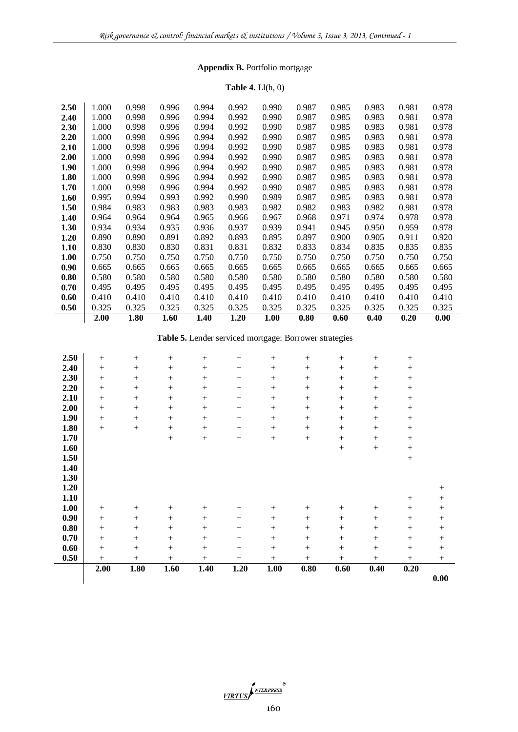# **Appendix B.** Portfolio mortgage

# **Table 4.** Ll(h, 0)

|      | 2.00  | 1.80  | 1.60  | 1.40  | 1.20  | 1.00  | 0.80  | 0.60  | 0.40  | 0.20  | 0.00  |
|------|-------|-------|-------|-------|-------|-------|-------|-------|-------|-------|-------|
| 0.50 | 0.325 | 0.325 | 0.325 | 0.325 | 0.325 | 0.325 | 0.325 | 0.325 | 0.325 | 0.325 | 0.325 |
| 0.60 | 0.410 | 0.410 | 0.410 | 0.410 | 0.410 | 0.410 | 0.410 | 0.410 | 0.410 | 0.410 | 0.410 |
| 0.70 | 0.495 | 0.495 | 0.495 | 0.495 | 0.495 | 0.495 | 0.495 | 0.495 | 0.495 | 0.495 | 0.495 |
| 0.80 | 0.580 | 0.580 | 0.580 | 0.580 | 0.580 | 0.580 | 0.580 | 0.580 | 0.580 | 0.580 | 0.580 |
| 0.90 | 0.665 | 0.665 | 0.665 | 0.665 | 0.665 | 0.665 | 0.665 | 0.665 | 0.665 | 0.665 | 0.665 |
| 1.00 | 0.750 | 0.750 | 0.750 | 0.750 | 0.750 | 0.750 | 0.750 | 0.750 | 0.750 | 0.750 | 0.750 |
| 1.10 | 0.830 | 0.830 | 0.830 | 0.831 | 0.831 | 0.832 | 0.833 | 0.834 | 0.835 | 0.835 | 0.835 |
| 1.20 | 0.890 | 0.890 | 0.891 | 0.892 | 0.893 | 0.895 | 0.897 | 0.900 | 0.905 | 0.911 | 0.920 |
| 1.30 | 0.934 | 0.934 | 0.935 | 0.936 | 0.937 | 0.939 | 0.941 | 0.945 | 0.950 | 0.959 | 0.978 |
| 1.40 | 0.964 | 0.964 | 0.964 | 0.965 | 0.966 | 0.967 | 0.968 | 0.971 | 0.974 | 0.978 | 0.978 |
| 1.50 | 0.984 | 0.983 | 0.983 | 0.983 | 0.983 | 0.982 | 0.982 | 0.983 | 0.982 | 0.981 | 0.978 |
| 1.60 | 0.995 | 0.994 | 0.993 | 0.992 | 0.990 | 0.989 | 0.987 | 0.985 | 0.983 | 0.981 | 0.978 |
| 1.70 | 1.000 | 0.998 | 0.996 | 0.994 | 0.992 | 0.990 | 0.987 | 0.985 | 0.983 | 0.981 | 0.978 |
| 1.80 | 1.000 | 0.998 | 0.996 | 0.994 | 0.992 | 0.990 | 0.987 | 0.985 | 0.983 | 0.981 | 0.978 |
| 1.90 | 1.000 | 0.998 | 0.996 | 0.994 | 0.992 | 0.990 | 0.987 | 0.985 | 0.983 | 0.981 | 0.978 |
| 2.00 | 1.000 | 0.998 | 0.996 | 0.994 | 0.992 | 0.990 | 0.987 | 0.985 | 0.983 | 0.981 | 0.978 |
| 2.10 | 1.000 | 0.998 | 0.996 | 0.994 | 0.992 | 0.990 | 0.987 | 0.985 | 0.983 | 0.981 | 0.978 |
| 2.20 | 1.000 | 0.998 | 0.996 | 0.994 | 0.992 | 0.990 | 0.987 | 0.985 | 0.983 | 0.981 | 0.978 |
| 2.30 | 1.000 | 0.998 | 0.996 | 0.994 | 0.992 | 0.990 | 0.987 | 0.985 | 0.983 | 0.981 | 0.978 |
| 2.40 | 1.000 | 0.998 | 0.996 | 0.994 | 0.992 | 0.990 | 0.987 | 0.985 | 0.983 | 0.981 | 0.978 |
| 2.50 | 1.000 | 0.998 | 0.996 | 0.994 | 0.992 | 0.990 | 0.987 | 0.985 | 0.983 | 0.981 | 0.978 |
|      |       |       |       |       |       |       |       |       |       |       |       |

# **Table 5.** Lender serviced mortgage: Borrower strategies

|      | 2.00   | 1.80            | 1.60            | 1.40   | 1.20   | 1.00   | 0.80   | 0.60             | 0.40            | 0.20   | 0.00   |
|------|--------|-----------------|-----------------|--------|--------|--------|--------|------------------|-----------------|--------|--------|
| 0.50 | $^{+}$ | $+$             | $+$             | $^{+}$ | $^{+}$ | $^{+}$ | $^{+}$ | $^{+}$           | $^{+}$          | $+$    | $^{+}$ |
| 0.60 |        | $^{+}$          | $+$             |        |        | $^{+}$ | $^{+}$ | $^{+}$           | $^{+}$          | $^{+}$ | $^{+}$ |
| 0.70 | $^{+}$ | $^{+}$          | $^{+}$          |        |        | $^{+}$ | $^{+}$ | $^{+}$           | $^{+}$          | $^{+}$ | $+$    |
| 0.80 | $^{+}$ | $^{+}$          | $^{+}$          | $^{+}$ |        | $^{+}$ | $^{+}$ | $^{+}$           | $^{+}$          | $^{+}$ | $+$    |
| 0.90 |        | $+$             | $^{+}$          |        | $^{+}$ |        | $^{+}$ | $^{+}$           |                 |        |        |
| 1.00 |        | $\! + \!\!\!\!$ | $^{+}$          |        |        |        |        |                  |                 |        | $+$    |
| 1.10 |        |                 |                 |        |        |        |        |                  |                 | $^{+}$ |        |
| 1.20 |        |                 |                 |        |        |        |        |                  |                 |        | $^{+}$ |
| 1.30 |        |                 |                 |        |        |        |        |                  |                 |        |        |
| 1.40 |        |                 |                 |        |        |        |        |                  |                 |        |        |
| 1.50 |        |                 |                 |        |        |        |        |                  |                 |        |        |
| 1.60 |        |                 |                 |        |        |        |        | $\boldsymbol{+}$ |                 | $^{+}$ |        |
| 1.70 |        |                 | $\! + \!\!\!\!$ |        | $^{+}$ |        |        |                  |                 |        |        |
| 1.80 | $^{+}$ | $^{+}$          | $^{+}$          |        | $^{+}$ | $^{+}$ | $^{+}$ |                  | $\! + \!\!\!\!$ | $^{+}$ |        |
| 1.90 |        | $+$             | $^{+}$          |        | $^{+}$ | $^{+}$ | $^{+}$ | $^{+}$           |                 | $^{+}$ |        |
| 2.00 |        | $^{+}$          | $^{+}$          |        | $^{+}$ | $^{+}$ | $^{+}$ |                  |                 |        |        |
| 2.10 |        | $^{+}$          | $^{+}$          |        | $^{+}$ | $^{+}$ | $^{+}$ | $^{+}$           | $^{+}$          | $^{+}$ |        |
| 2.20 | $^{+}$ | $^{+}$          | $^{+}$          |        |        | $^{+}$ | $^{+}$ |                  |                 |        |        |
| 2.30 | $^{+}$ | $^{+}$          | $^{+}$          |        | $^{+}$ | $^{+}$ | $^{+}$ | $^{+}$           | $\! + \!\!\!\!$ | $^{+}$ |        |
| 2.40 | $^{+}$ | $+$             |                 |        |        | $^{+}$ | $^{+}$ | $^{+}$           |                 | $^{+}$ |        |
| 2.50 |        | $^{+}$          | $^{+}$          | $^{+}$ |        |        | $^{+}$ | $^{+}$           | $^{+}$          | $^{+}$ |        |

 $\frac{\sqrt{IRTUS}}{\sqrt{IRTUS}}$  160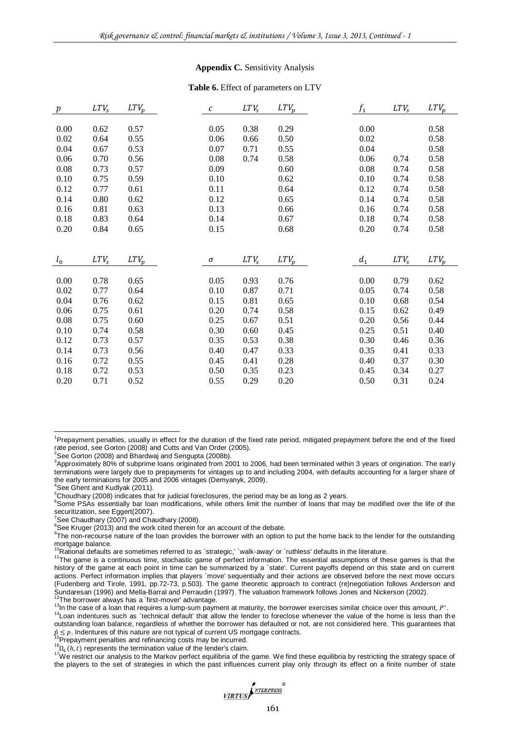#### **Appendix C.** Sensitivity Analysis

#### **Table 6.** Effect of parameters on LTV

| $\boldsymbol{p}$ | LTV <sub>s</sub> | $_{LTV_{p}}$ | c    | LTV <sub>s</sub> | $LTV_p$ | $f_1$ | $LTV_s$          | $LTV_p$ |
|------------------|------------------|--------------|------|------------------|---------|-------|------------------|---------|
|                  |                  |              |      |                  |         |       |                  |         |
| 0.00             | 0.62             | 0.57         | 0.05 | 0.38             | 0.29    | 0.00  |                  | 0.58    |
| 0.02             | 0.64             | 0.55         | 0.06 | 0.66             | 0.50    | 0.02  |                  | 0.58    |
| 0.04             | 0.67             | 0.53         | 0.07 | 0.71             | 0.55    | 0.04  |                  | 0.58    |
| 0.06             | 0.70             | 0.56         | 0.08 | 0.74             | 0.58    | 0.06  | 0.74             | 0.58    |
| 0.08             | 0.73             | 0.57         | 0.09 |                  | 0.60    | 0.08  | 0.74             | 0.58    |
| 0.10             | 0.75             | 0.59         | 0.10 |                  | 0.62    | 0.10  | 0.74             | 0.58    |
| 0.12             | 0.77             | 0.61         | 0.11 |                  | 0.64    | 0.12  | 0.74             | 0.58    |
| 0.14             | 0.80             | 0.62         | 0.12 |                  | 0.65    | 0.14  | 0.74             | 0.58    |
| 0.16             | 0.81             | 0.63         | 0.13 |                  | 0.66    | 0.16  | 0.74             | 0.58    |
| 0.18             | 0.83             | 0.64         | 0.14 |                  | 0.67    | 0.18  | 0.74             | 0.58    |
| 0.20             | 0.84             | 0.65         | 0.15 |                  | 0.68    | 0.20  | 0.74             | 0.58    |
|                  |                  |              |      |                  |         |       |                  |         |
|                  |                  |              |      |                  |         |       |                  |         |
|                  |                  |              |      |                  |         |       |                  |         |
| $l_0$            | $LTV_s$          | $LTV_p$      | σ    | LTV <sub>s</sub> | $LTV_p$ | $d_1$ | LTV <sub>s</sub> | $LTV_p$ |
|                  |                  |              |      |                  |         |       |                  |         |
| 0.00             | 0.78             | 0.65         | 0.05 | 0.93             | 0.76    | 0.00  | 0.79             | 0.62    |
| 0.02             | 0.77             | 0.64         | 0.10 | 0.87             | 0.71    | 0.05  | 0.74             | 0.58    |
| 0.04             | 0.76             | 0.62         | 0.15 | 0.81             | 0.65    | 0.10  | 0.68             | 0.54    |
| 0.06             | 0.75             | 0.61         | 0.20 | 0.74             | 0.58    | 0.15  | 0.62             | 0.49    |
| 0.08             | 0.75             | 0.60         | 0.25 | 0.67             | 0.51    | 0.20  | 0.56             | 0.44    |
| 0.10             | 0.74             | 0.58         | 0.30 | 0.60             | 0.45    | 0.25  | 0.51             | 0.40    |
| 0.12             | 0.73             | 0.57         | 0.35 | 0.53             | 0.38    | 0.30  | 0.46             | 0.36    |
| 0.14             | 0.73             | 0.56         | 0.40 | 0.47             | 0.33    | 0.35  | 0.41             | 0.33    |
| 0.16             | 0.72             | 0.55         | 0.45 | 0.41             | 0.28    | 0.40  | 0.37             | 0.30    |
| 0.18             | 0.72             | 0.53         | 0.50 | 0.35             | 0.23    | 0.45  | 0.34             | 0.27    |
| 0.20             | 0.71             | 0.52         | 0.55 | 0.29             | 0.20    | 0.50  | 0.31             | 0.24    |

l

<sup>6</sup>Some PSAs essentially bar loan modifications, while others limit the number of loans that may be modified over the life of the securitization, see Eggert(2007).

<sup>13</sup>In the case of a loan that requires a lump-sum payment at maturity, the borrower exercises similar choice over this amount,  $P^*$ .

<sup>&</sup>lt;sup>1</sup>Prepayment penalties, usually in effect for the duration of the fixed rate period, mitigated prepayment before the end of the fixed rate period, see Gorton (2008) and Cutts and Van Order (2005).

 $2$ See Gorton (2008) and Bhardwaj and Sengupta (2008b).

<sup>&</sup>lt;sup>3</sup>Approximately 80% of subprime loans originated from 2001 to 2006, had been terminated within 3 years of origination. The early terminations were largely due to prepayments for vintages up to and including 2004, with defaults accounting for a larger share of the early terminations for 2005 and 2006 vintages (Demyanyk, 2009).

<sup>4</sup> See Ghent and Kudlyak (2011).

<sup>&</sup>lt;sup>5</sup>Choudhary (2008) indicates that for judicial foreclosures, the period may be as long as 2 years.

 $7$ See Chaudhary (2007) and Chaudhary (2008).

 $8$ See Kruger (2013) and the work cited therein for an account of the debate.

<sup>&</sup>lt;sup>9</sup>The non-recourse nature of the loan provides the borrower with an option to put the home back to the lender for the outstanding mortgage balance.

 $0$ Rational defaults are sometimes referred to as `strategic,' `walk-away' or `ruthless' defaults in the literature.

<sup>&</sup>lt;sup>11</sup>The game is a continuous time, stochastic game of perfect information. The essential assumptions of these games is that the history of the game at each point in time can be summarized by a `state'. Current payoffs depend on this state and on current actions. Perfect information implies that players `move' sequentially and their actions are observed before the next move occurs (Fudenberg and Tirole, 1991, pp.72-73, p.503). The game theoretic approach to contract (re)negotiation follows Anderson and Sundaresan (1996) and Mella-Barral and Perraudin (1997). The valuation framework follows Jones and Nickerson (2002).<br><sup>12</sup>The borrower always has a `first-mover' advantage.

<sup>&</sup>lt;sup>14</sup>Loan indentures such as `technical default' that allow the lender to foreclose whenever the value of the home is less than the outstanding loan balance, regardless of whether the borrower has defaulted or not, are not considered here. This guarantees that  $\hat{p} \leq p$ . Indentures of this nature are not typical of current US mortgage contracts.<br><sup>15</sup>Prepayment penalties and refinancing costs may be incurred.

 $^{16}$  $\Omega_L(h, t)$  represents the termination value of the lender's claim.

<sup>&</sup>lt;sup>17</sup>We restrict our analysis to the Markov perfect equilibria of the game. We find these equilibria by restricting the strategy space of the players to the set of strategies in which the past influences current play only through its effect on a finite number of state